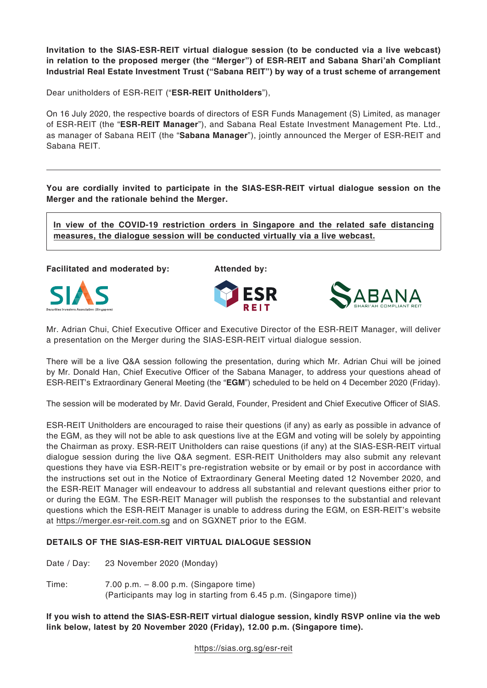**Invitation to the SIAS-ESR-REIT virtual dialogue session (to be conducted via a live webcast) in relation to the proposed merger (the "Merger") of ESR-REIT and Sabana Shari'ah Compliant Industrial Real Estate Investment Trust ("Sabana REIT") by way of a trust scheme of arrangement**

Dear unitholders of ESR-REIT ("**ESR-REIT Unitholders**"),

On 16 July 2020, the respective boards of directors of ESR Funds Management (S) Limited, as manager of ESR-REIT (the "**ESR-REIT Manager**"), and Sabana Real Estate Investment Management Pte. Ltd., as manager of Sabana REIT (the "**Sabana Manager**"), jointly announced the Merger of ESR-REIT and Sabana REIT.

**You are cordially invited to participate in the SIAS-ESR-REIT virtual dialogue session on the Merger and the rationale behind the Merger.**

**In view of the COVID-19 restriction orders in Singapore and the related safe distancing measures, the dialogue session will be conducted virtually via a live webcast.**

**Facilitated and moderated by: Attended by:**







Mr. Adrian Chui, Chief Executive Officer and Executive Director of the ESR-REIT Manager, will deliver a presentation on the Merger during the SIAS-ESR-REIT virtual dialogue session.

There will be a live Q&A session following the presentation, during which Mr. Adrian Chui will be joined by Mr. Donald Han, Chief Executive Officer of the Sabana Manager, to address your questions ahead of ESR-REIT's Extraordinary General Meeting (the "**EGM**") scheduled to be held on 4 December 2020 (Friday).

The session will be moderated by Mr. David Gerald, Founder, President and Chief Executive Officer of SIAS.

ESR-REIT Unitholders are encouraged to raise their questions (if any) as early as possible in advance of the EGM, as they will not be able to ask questions live at the EGM and voting will be solely by appointing the Chairman as proxy. ESR-REIT Unitholders can raise questions (if any) at the SIAS-ESR-REIT virtual dialogue session during the live Q&A segment. ESR-REIT Unitholders may also submit any relevant questions they have via ESR-REIT's pre-registration website or by email or by post in accordance with the instructions set out in the Notice of Extraordinary General Meeting dated 12 November 2020, and the ESR-REIT Manager will endeavour to address all substantial and relevant questions either prior to or during the EGM. The ESR-REIT Manager will publish the responses to the substantial and relevant questions which the ESR-REIT Manager is unable to address during the EGM, on ESR-REIT's website at https://merger.esr-reit.com.sg and on SGXNET prior to the EGM.

## **DETAILS OF THE SIAS-ESR-REIT VIRTUAL DIALOGUE SESSION**

Date / Day: 23 November 2020 (Monday)

Time: 7.00 p.m. – 8.00 p.m. (Singapore time) (Participants may log in starting from 6.45 p.m. (Singapore time))

**If you wish to attend the SIAS-ESR-REIT virtual dialogue session, kindly RSVP online via the web link below, latest by 20 November 2020 (Friday), 12.00 p.m. (Singapore time).**